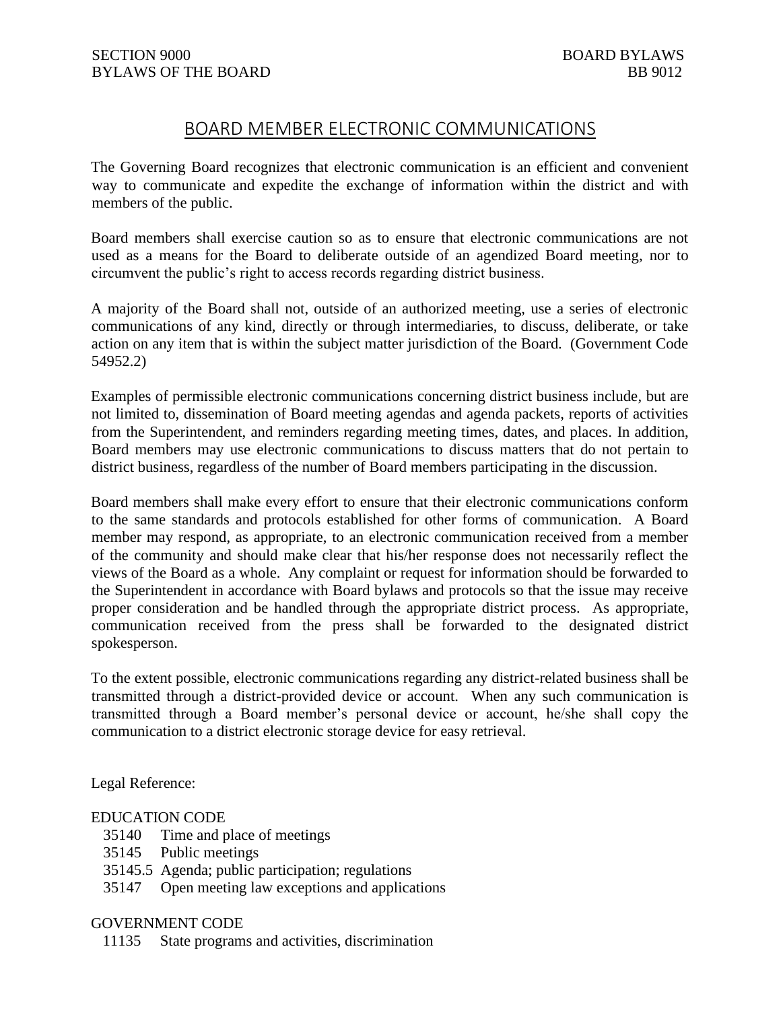## BOARD MEMBER ELECTRONIC COMMUNICATIONS

The Governing Board recognizes that electronic communication is an efficient and convenient way to communicate and expedite the exchange of information within the district and with members of the public.

Board members shall exercise caution so as to ensure that electronic communications are not used as a means for the Board to deliberate outside of an agendized Board meeting, nor to circumvent the public's right to access records regarding district business.

A majority of the Board shall not, outside of an authorized meeting, use a series of electronic communications of any kind, directly or through intermediaries, to discuss, deliberate, or take action on any item that is within the subject matter jurisdiction of the Board. (Government Code 54952.2)

Examples of permissible electronic communications concerning district business include, but are not limited to, dissemination of Board meeting agendas and agenda packets, reports of activities from the Superintendent, and reminders regarding meeting times, dates, and places. In addition, Board members may use electronic communications to discuss matters that do not pertain to district business, regardless of the number of Board members participating in the discussion.

Board members shall make every effort to ensure that their electronic communications conform to the same standards and protocols established for other forms of communication. A Board member may respond, as appropriate, to an electronic communication received from a member of the community and should make clear that his/her response does not necessarily reflect the views of the Board as a whole. Any complaint or request for information should be forwarded to the Superintendent in accordance with Board bylaws and protocols so that the issue may receive proper consideration and be handled through the appropriate district process. As appropriate, communication received from the press shall be forwarded to the designated district spokesperson.

To the extent possible, electronic communications regarding any district-related business shall be transmitted through a district-provided device or account. When any such communication is transmitted through a Board member's personal device or account, he/she shall copy the communication to a district electronic storage device for easy retrieval.

Legal Reference:

## EDUCATION CODE

- 35140 Time and place of meetings
- 35145 Public meetings
- 35145.5 Agenda; public participation; regulations
- 35147 Open meeting law exceptions and applications

## GOVERNMENT CODE

11135 State programs and activities, discrimination